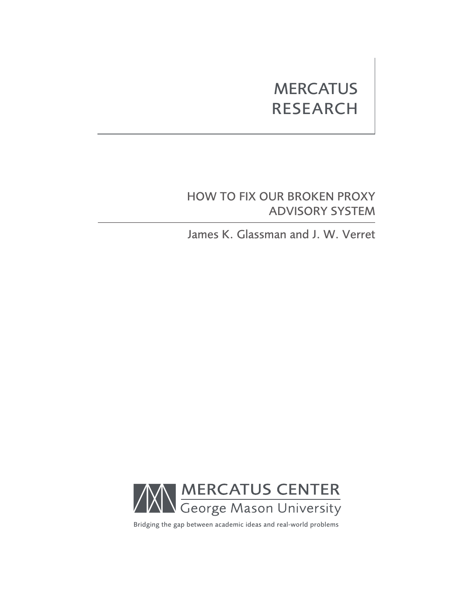# **MERCATUS** RESEARCH

# HOW TO FIX OUR BROKEN PROXY ADVISORY SYSTEM

James K. Glassman and J. W. Verret



Bridging the gap between academic ideas and real-world problems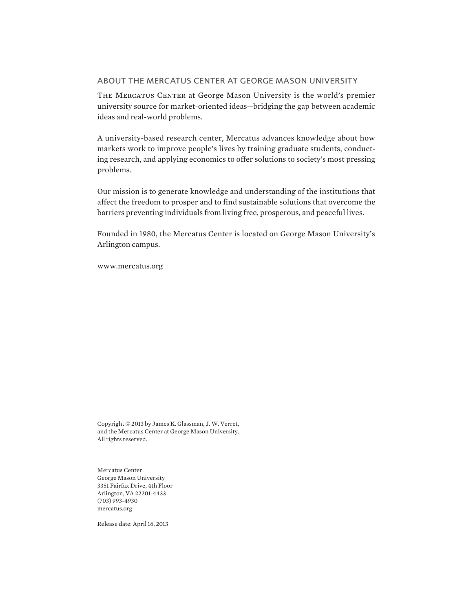### ABOUT THE MERCATUS CENTER AT GEORGE MASON UNIVERSITY

The Mercatus Center at George Mason University is the world's premier university source for market-oriented ideas—bridging the gap between academic ideas and real-world problems.

A university-based research center, Mercatus advances knowledge about how markets work to improve people's lives by training graduate students, conducting research, and applying economics to offer solutions to society's most pressing problems.

Our mission is to generate knowledge and understanding of the institutions that affect the freedom to prosper and to find sustainable solutions that overcome the barriers preventing individuals from living free, prosperous, and peaceful lives.

Founded in 1980, the Mercatus Center is located on George Mason University's Arlington campus.

www.mercatus.org

Copyright © 2013 by James K. Glassman, J. W. Verret, and the Mercatus Center at George Mason University. All rights reserved.

Mercatus Center George Mason University 3351 Fairfax Drive, 4th Floor Arlington, VA 22201-4433 (703) 993-4930 mercatus.org

Release date: April 16, 2013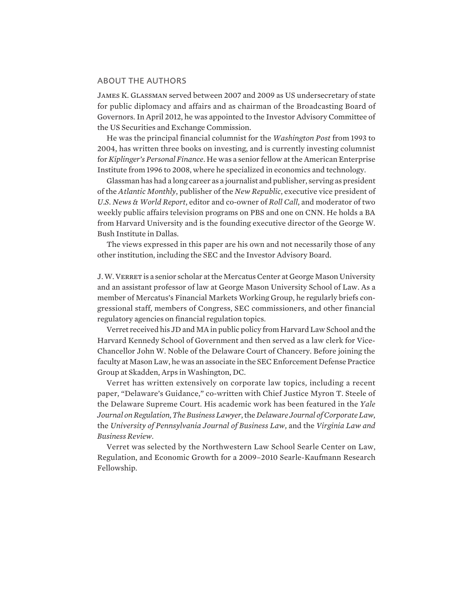#### ABOUT THE AUTHORS

James K. Glassman served between 2007 and 2009 as US undersecretary of state for public diplomacy and affairs and as chairman of the Broadcasting Board of Governors. In April 2012, he was appointed to the Investor Advisory Committee of the US Securities and Exchange Commission.

He was the principal financial columnist for the *Washington Post* from 1993 to 2004, has written three books on investing, and is currently investing columnist for *Kiplinger's Personal Finance*. He was a senior fellow at the American Enterprise Institute from 1996 to 2008, where he specialized in economics and technology.

Glassman has had a long career as a journalist and publisher, serving as president of the *Atlantic Monthly*, publisher of the *New Republic*, executive vice president of *U.S. News & World Report*, editor and co-owner of *Roll Call*, and moderator of two weekly public affairs television programs on PBS and one on CNN. He holds a BA from Harvard University and is the founding executive director of the George W. Bush Institute in Dallas.

The views expressed in this paper are his own and not necessarily those of any other institution, including the SEC and the Investor Advisory Board.

J. W. Verret is a senior scholar at the Mercatus Center at George Mason University and an assistant professor of law at George Mason University School of Law. As a member of Mercatus's Financial Markets Working Group, he regularly briefs congressional staff, members of Congress, SEC commissioners, and other financial regulatory agencies on financial regulation topics.

Verret received his JD and MA in public policy from Harvard Law School and the Harvard Kennedy School of Government and then served as a law clerk for Vice-Chancellor John W. Noble of the Delaware Court of Chancery. Before joining the faculty at Mason Law, he was an associate in the SEC Enforcement Defense Practice Group at Skadden, Arps in Washington, DC.

Verret has written extensively on corporate law topics, including a recent paper, "Delaware's Guidance," co-written with Chief Justice Myron T. Steele of the Delaware Supreme Court. His academic work has been featured in the *Yale Journal on Regulation*, *The Business Lawyer*, the *Delaware Journal of Corporate Law*, the *University of Pennsylvania Journal of Business Law*, and the *Virginia Law and Business Review*.

Verret was selected by the Northwestern Law School Searle Center on Law, Regulation, and Economic Growth for a 2009–2010 Searle-Kaufmann Research Fellowship.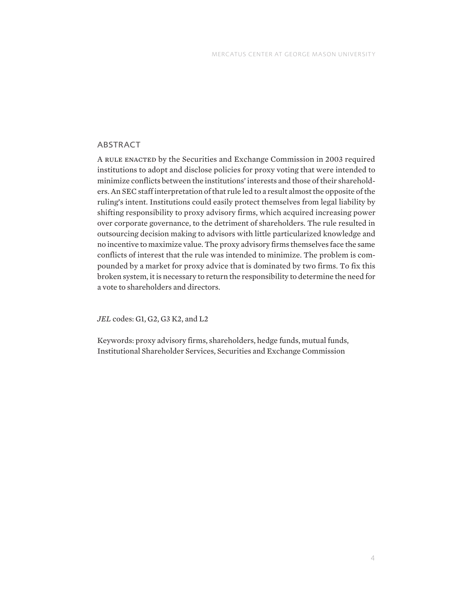## ABSTRACT

A rule enacted by the Securities and Exchange Commission in 2003 required institutions to adopt and disclose policies for proxy voting that were intended to minimize conflicts between the institutions' interests and those of their shareholders. An SEC staff interpretation of that rule led to a result almost the opposite of the ruling's intent. Institutions could easily protect themselves from legal liability by shifting responsibility to proxy advisory firms, which acquired increasing power over corporate governance, to the detriment of shareholders. The rule resulted in outsourcing decision making to advisors with little particularized knowledge and no incentive to maximize value. The proxy advisory firms themselves face the same conflicts of interest that the rule was intended to minimize. The problem is compounded by a market for proxy advice that is dominated by two firms. To fix this broken system, it is necessary to return the responsibility to determine the need for a vote to shareholders and directors.

*JEL* codes: G1, G2, G3 K2, and L2

Keywords: proxy advisory firms, shareholders, hedge funds, mutual funds, Institutional Shareholder Services, Securities and Exchange Commission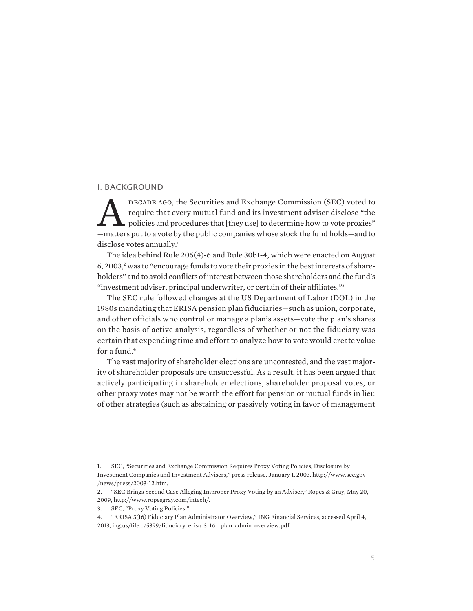#### I. BACKGROUND

DECADE AGO, the Securities and Exchange Commission (SEC) voted to<br>require that every mutual fund and its investment adviser disclose "the<br>policies and procedures that [they use] to determine how to vote proxies"<br>—matters p require that every mutual fund and its investment adviser disclose "the policies and procedures that [they use] to determine how to vote proxies" —matters put to a vote by the public companies whose stock the fund holds—and to disclose votes annually.<sup>1</sup>

The idea behind Rule 206(4)-6 and Rule 30b1-4, which were enacted on August 6, 2003,<sup>2</sup> was to "encourage funds to vote their proxies in the best interests of shareholders" and to avoid conflicts of interest between those shareholders and the fund's "investment adviser, principal underwriter, or certain of their affiliates."3

The SEC rule followed changes at the US Department of Labor (DOL) in the 1980s mandating that ERISA pension plan fiduciaries—such as union, corporate, and other officials who control or manage a plan's assets—vote the plan's shares on the basis of active analysis, regardless of whether or not the fiduciary was certain that expending time and effort to analyze how to vote would create value for a fund.<sup>4</sup>

The vast majority of shareholder elections are uncontested, and the vast majority of shareholder proposals are unsuccessful. As a result, it has been argued that actively participating in shareholder elections, shareholder proposal votes, or other proxy votes may not be worth the effort for pension or mutual funds in lieu of other strategies (such as abstaining or passively voting in favor of management

<sup>1.</sup> SEC, "Securities and Exchange Commission Requires Proxy Voting Policies, Disclosure by Investment Companies and Investment Advisers," press release, January 1, 2003, http://www.sec.gov /news/press/2003-12.htm.

<sup>2.</sup> "SEC Brings Second Case Alleging Improper Proxy Voting by an Adviser," Ropes & Gray, May 20, 2009, http://www.ropesgray.com/intech/.

<sup>3.</sup> SEC, "Proxy Voting Policies."

<sup>4.</sup> "ERISA 3(16) Fiduciary Plan Administrator Overview," ING Financial Services, accessed April 4, 2013, ing.us/file.../5399/fiduciary\_erisa\_3\_16\_\_plan\_admin\_overview.pdf.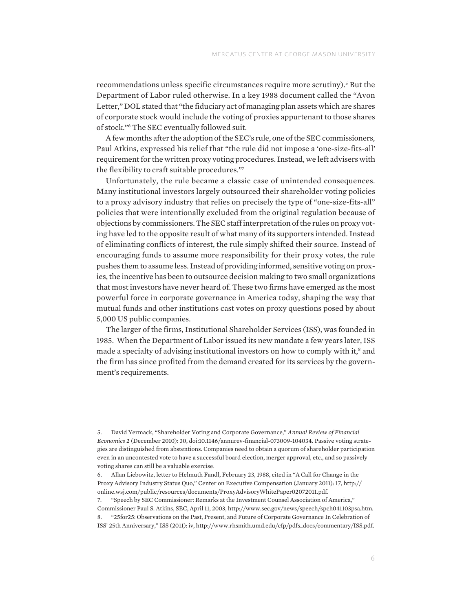recommendations unless specific circumstances require more scrutiny).<sup>5</sup> But the Department of Labor ruled otherwise. In a key 1988 document called the "Avon Letter," DOL stated that "the fiduciary act of managing plan assets which are shares of corporate stock would include the voting of proxies appurtenant to those shares of stock."6 The SEC eventually followed suit.

A few months after the adoption of the SEC's rule, one of the SEC commissioners, Paul Atkins, expressed his relief that "the rule did not impose a 'one-size-fits-all' requirement for the written proxy voting procedures. Instead, we left advisers with the flexibility to craft suitable procedures."7

Unfortunately, the rule became a classic case of unintended consequences. Many institutional investors largely outsourced their shareholder voting policies to a proxy advisory industry that relies on precisely the type of "one-size-fits-all" policies that were intentionally excluded from the original regulation because of objections by commissioners. The SEC staff interpretation of the rules on proxy voting have led to the opposite result of what many of its supporters intended. Instead of eliminating conflicts of interest, the rule simply shifted their source. Instead of encouraging funds to assume more responsibility for their proxy votes, the rule pushes them to assume less. Instead of providing informed, sensitive voting on proxies, the incentive has been to outsource decision making to two small organizations that most investors have never heard of. These two firms have emerged as the most powerful force in corporate governance in America today, shaping the way that mutual funds and other institutions cast votes on proxy questions posed by about 5,000 US public companies.

The larger of the firms, Institutional Shareholder Services (ISS), was founded in 1985. When the Department of Labor issued its new mandate a few years later, ISS made a specialty of advising institutional investors on how to comply with it,<sup>8</sup> and the firm has since profited from the demand created for its services by the government's requirements.

7. "Speech by SEC Commissioner: Remarks at the Investment Counsel Association of America,"

<sup>5.</sup> David Yermack, "Shareholder Voting and Corporate Governance," *Annual Review of Financial Economics* 2 (December 2010): 30, doi:10.1146/annurev-financial-073009-104034. Passive voting strategies are distinguished from abstentions. Companies need to obtain a quorum of shareholder participation even in an uncontested vote to have a successful board election, merger approval, etc., and so passively voting shares can still be a valuable exercise.

<sup>6.</sup> Allan Liebowitz, letter to Helmuth Fandl, February 23, 1988, cited in "A Call for Change in the Proxy Advisory Industry Status Quo," Center on Executive Compensation (January 2011): 17, http:// online.wsj.com/public/resources/documents/ProxyAdvisoryWhitePaper02072011.pdf.

Commissioner Paul S. Atkins, SEC, April 11, 2003, http://www.sec.gov/news/speech/spch041103psa.htm. 8. "25for25: Observations on the Past, Present, and Future of Corporate Governance In Celebration of ISS' 25th Anniversary," ISS (2011): iv, http://www.rhsmith.umd.edu/cfp/pdfs\_docs/commentary/ISS.pdf.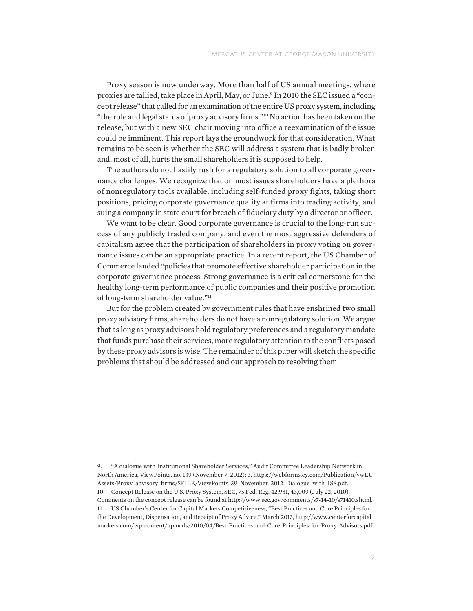Proxy season is now underway. More than half of US annual meetings, where proxies are tallied, take place in April, May, or June.<sup>9</sup> In 2010 the SEC issued a "concept release" that called for an examination of the entire US proxy system, including "the role and legal status of proxy advisory firms."10 No action has been taken on the release, but with a new SEC chair moving into office a reexamination of the issue could be imminent. This report lays the groundwork for that consideration. What remains to be seen is whether the SEC will address a system that is badly broken and, most of all, hurts the small shareholders it is supposed to help.

The authors do not hastily rush for a regulatory solution to all corporate governance challenges. We recognize that on most issues shareholders have a plethora of nonregulatory tools available, including self-funded proxy fights, taking short positions, pricing corporate governance quality at firms into trading activity, and suing a company in state court for breach of fiduciary duty by a director or officer.

We want to be clear. Good corporate governance is crucial to the long-run success of any publicly traded company, and even the most aggressive defenders of capitalism agree that the participation of shareholders in proxy voting on governance issues can be an appropriate practice. In a recent report, the US Chamber of Commerce lauded "policies that promote effective shareholder participation in the corporate governance process. Strong governance is a critical cornerstone for the healthy long-term performance of public companies and their positive promotion of long-term shareholder value."11

But for the problem created by government rules that have enshrined two small proxy advisory firms, shareholders do not have a nonregulatory solution. We argue that as long as proxy advisors hold regulatory preferences and a regulatory mandate that funds purchase their services, more regulatory attention to the conflicts posed by these proxy advisors is wise. The remainder of this paper will sketch the specific problems that should be addressed and our approach to resolving them.

9. "A dialogue with Institutional Shareholder Services," Audit Committee Leadership Network in North America, ViewPoints, no. 139 (November 7, 2012): 3, https://webforms.ey.com/Publication/vwLU Assets/Proxy\_advisory\_firms/\$FILE/ViewPoints\_39\_November\_2012\_Dialogue\_with\_ISS.pdf. 10. Concept Release on the U.S. Proxy System, SEC, 75 Fed. Reg. 42,981, 43,009 (July 22, 2010). Comments on the concept release can be found at http://www.sec.gov/comments/s7-14-10/s71410.shtml. 11. US Chamber's Center for Capital Markets Competitiveness, "Best Practices and Core Principles for the Development, Dispensation, and Receipt of Proxy Advice," March 2013, http://www.centerforcapital markets.com/wp-content/uploads/2010/04/Best-Practices-and-Core-Principles-for-Proxy-Advisors.pdf.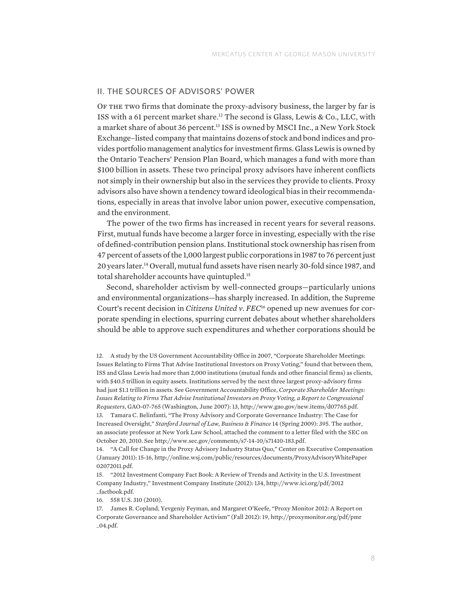#### II. THE SOURCES OF ADVISORS' POWER

OF THE TWO firms that dominate the proxy-advisory business, the larger by far is ISS with a 61 percent market share.12 The second is Glass, Lewis & Co., LLC, with a market share of about 36 percent.<sup>13</sup> ISS is owned by MSCI Inc., a New York Stock Exchange–listed company that maintains dozens of stock and bond indices and provides portfolio management analytics for investment firms. Glass Lewis is owned by the Ontario Teachers' Pension Plan Board, which manages a fund with more than \$100 billion in assets. These two principal proxy advisors have inherent conflicts not simply in their ownership but also in the services they provide to clients. Proxy advisors also have shown a tendency toward ideological bias in their recommendations, especially in areas that involve labor union power, executive compensation, and the environment.

The power of the two firms has increased in recent years for several reasons. First, mutual funds have become a larger force in investing, especially with the rise of defined-contribution pension plans. Institutional stock ownership has risen from 47 percent of assets of the 1,000 largest public corporations in 1987 to 76 percent just 20 years later.14 Overall, mutual fund assets have risen nearly 30-fold since 1987, and total shareholder accounts have quintupled.15

Second, shareholder activism by well-connected groups—particularly unions and environmental organizations—has sharply increased. In addition, the Supreme Court's recent decision in *Citizens United v. FEC*16 opened up new avenues for corporate spending in elections, spurring current debates about whether shareholders should be able to approve such expenditures and whether corporations should be

13. Tamara C. Belinfanti, "The Proxy Advisory and Corporate Governance Industry: The Case for Increased Oversight," *Stanford Journal of Law, Business & Finance* 14 (Spring 2009): 395. The author, an associate professor at New York Law School, attached the comment to a letter filed with the SEC on October 20, 2010. See http://www.sec.gov/comments/s7-14-10/s71410-183.pdf.

14. "A Call for Change in the Proxy Advisory Industry Status Quo," Center on Executive Compensation (January 2011): 15-16, http://online.wsj.com/public/resources/documents/ProxyAdvisoryWhitePaper 02072011.pdf.

16. 558 U.S. 310 (2010).

<sup>12.</sup> A study by the US Government Accountability Office in 2007, "Corporate Shareholder Meetings: Issues Relating to Firms That Advise Institutional Investors on Proxy Voting," found that between them, ISS and Glass Lewis had more than 2,000 institutions (mutual funds and other financial firms) as clients, with \$40.5 trillion in equity assets. Institutions served by the next three largest proxy-advisory firms had just \$1.1 trillion in assets. See Government Accountability Office, *Corporate Shareholder Meetings: Issues Relating to Firms That Advise Institutional Investors on Proxy Voting, a Report to Congressional Requesters*, GAO-07-765 (Washington, June 2007): 13, http://www.gao.gov/new.items/d07765.pdf.

<sup>15.</sup> "2012 Investment Company Fact Book: A Review of Trends and Activity in the U.S. Investment Company Industry," Investment Company Institute (2012): 134, http://www.ici.org/pdf/2012 \_factbook.pdf.

<sup>17.</sup> James R. Copland, Yevgeniy Feyman, and Margaret O'Keefe, "Proxy Monitor 2012: A Report on Corporate Governance and Shareholder Activism" (Fall 2012): 19, http://proxymonitor.org/pdf/pmr \_04.pdf.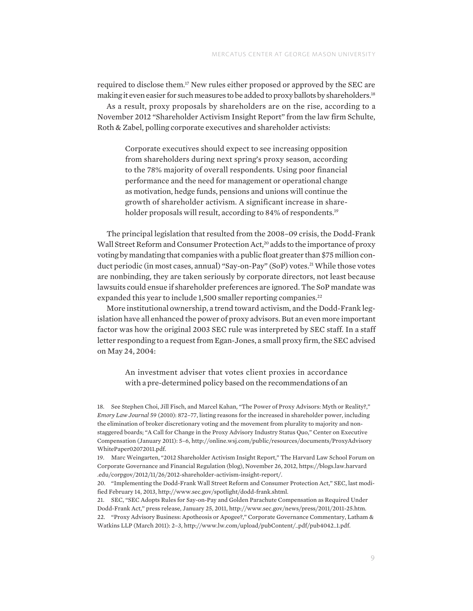required to disclose them.17 New rules either proposed or approved by the SEC are making it even easier for such measures to be added to proxy ballots by shareholders.18

As a result, proxy proposals by shareholders are on the rise, according to a November 2012 "Shareholder Activism Insight Report" from the law firm Schulte, Roth & Zabel, polling corporate executives and shareholder activists:

Corporate executives should expect to see increasing opposition from shareholders during next spring's proxy season, according to the 78% majority of overall respondents. Using poor financial performance and the need for management or operational change as motivation, hedge funds, pensions and unions will continue the growth of shareholder activism. A significant increase in shareholder proposals will result, according to 84% of respondents.<sup>19</sup>

The principal legislation that resulted from the 2008–09 crisis, the Dodd-Frank Wall Street Reform and Consumer Protection Act,<sup>20</sup> adds to the importance of proxy voting by mandating that companies with a public float greater than \$75 million conduct periodic (in most cases, annual) "Say-on-Pay" (SoP) votes.<sup>21</sup> While those votes are nonbinding, they are taken seriously by corporate directors, not least because lawsuits could ensue if shareholder preferences are ignored. The SoP mandate was expanded this year to include 1,500 smaller reporting companies.<sup>22</sup>

More institutional ownership, a trend toward activism, and the Dodd-Frank legislation have all enhanced the power of proxy advisors. But an even more important factor was how the original 2003 SEC rule was interpreted by SEC staff. In a staff letter responding to a request from Egan-Jones, a small proxy firm, the SEC advised on May 24, 2004:

An investment adviser that votes client proxies in accordance with a pre-determined policy based on the recommendations of an

18. See Stephen Choi, Jill Fisch, and Marcel Kahan, "The Power of Proxy Advisors: Myth or Reality?," *Emory Law Journal* 59 (2010): 872–77, listing reasons for the increased in shareholder power, including the elimination of broker discretionary voting and the movement from plurality to majority and nonstaggered boards; "A Call for Change in the Proxy Advisory Industry Status Quo," Center on Executive Compensation (January 2011): 5–6, http://online.wsj.com/public/resources/documents/ProxyAdvisory WhitePaper02072011.pdf.

21. SEC, "SEC Adopts Rules for Say-on-Pay and Golden Parachute Compensation as Required Under Dodd-Frank Act," press release, January 25, 2011, http://www.sec.gov/news/press/2011/2011-25.htm. 22. "Proxy Advisory Business: Apotheosis or Apogee?," Corporate Governance Commentary, Latham & Watkins LLP (March 2011): 2–3, http://www.lw.com/upload/pubContent/\_pdf/pub4042\_1.pdf.

<sup>19.</sup> Marc Weingarten, "2012 Shareholder Activism Insight Report," The Harvard Law School Forum on Corporate Governance and Financial Regulation (blog), November 26, 2012, https://blogs.law.harvard .edu/corpgov/2012/11/26/2012-shareholder-activism-insight-report/.

<sup>20.</sup> "Implementing the Dodd-Frank Wall Street Reform and Consumer Protection Act," SEC, last modified February 14, 2013, http://www.sec.gov/spotlight/dodd-frank.shtml.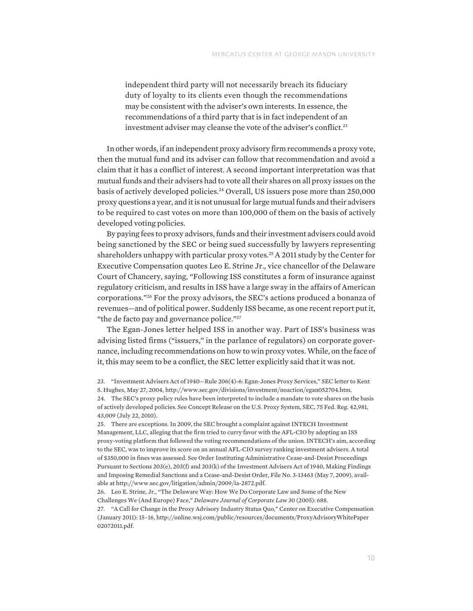independent third party will not necessarily breach its fiduciary duty of loyalty to its clients even though the recommendations may be consistent with the adviser's own interests. In essence, the recommendations of a third party that is in fact independent of an investment adviser may cleanse the vote of the adviser's conflict.<sup>23</sup>

In other words, if an independent proxy advisory firm recommends a proxy vote, then the mutual fund and its adviser can follow that recommendation and avoid a claim that it has a conflict of interest. A second important interpretation was that mutual funds and their advisers had to vote all their shares on all proxy issues on the basis of actively developed policies.<sup>24</sup> Overall, US issuers pose more than 250,000 proxy questions a year, and it is not unusual for large mutual funds and their advisers to be required to cast votes on more than 100,000 of them on the basis of actively developed voting policies.

By paying fees to proxy advisors, funds and their investment advisers could avoid being sanctioned by the SEC or being sued successfully by lawyers representing shareholders unhappy with particular proxy votes.<sup>25</sup> A 2011 study by the Center for Executive Compensation quotes Leo E. Strine Jr., vice chancellor of the Delaware Court of Chancery, saying, "Following ISS constitutes a form of insurance against regulatory criticism, and results in ISS have a large sway in the affairs of American corporations."26 For the proxy advisors, the SEC's actions produced a bonanza of revenues—and of political power. Suddenly ISS became, as one recent report put it, "the de facto pay and governance police."27

The Egan-Jones letter helped ISS in another way. Part of ISS's business was advising listed firms ("issuers," in the parlance of regulators) on corporate governance, including recommendations on how to win proxy votes. While, on the face of it, this may seem to be a conflict, the SEC letter explicitly said that it was not.

<sup>23.</sup> "Investment Advisers Act of 1940—Rule 206(4)-6: Egan-Jones Proxy Services," SEC letter to Kent S. Hughes, May 27, 2004, http://www.sec.gov/divisions/investment/noaction/egan052704.htm. 24. The SEC's proxy policy rules have been interpreted to include a mandate to vote shares on the basis of actively developed policies. See Concept Release on the U.S. Proxy System, SEC, 75 Fed. Reg. 42,981,

<sup>43,009 (</sup>July 22, 2010). 25. There are exceptions. In 2009, the SEC brought a complaint against INTECH Investment Management, LLC, alleging that the firm tried to curry favor with the AFL-CIO by adopting an ISS

proxy-voting platform that followed the voting recommendations of the union. INTECH's aim, according to the SEC, was to improve its score on an annual AFL-CIO survey ranking investment advisers. A total of \$350,000 in fines was assessed. See Order Instituting Administrative Cease-and-Desist Proceedings Pursuant to Sections 203(e), 203(f) and 203(k) of the Investment Advisers Act of 1940, Making Findings and Imposing Remedial Sanctions and a Cease-and-Desist Order, File No. 3-13463 (May 7, 2009), available at http://www.sec.gov/litigation/admin/2009/ia-2872.pdf.

<sup>26.</sup> Leo E. Strine, Jr., "The Delaware Way: How We Do Corporate Law and Some of the New Challenges We (And Europe) Face," *Delaware Journal of Corporate Law* 30 (2005): 688.

<sup>27.</sup> "A Call for Change in the Proxy Advisory Industry Status Quo," Center on Executive Compensation (January 2011): 15–16, http://online.wsj.com/public/resources/documents/ProxyAdvisoryWhitePaper 02072011.pdf.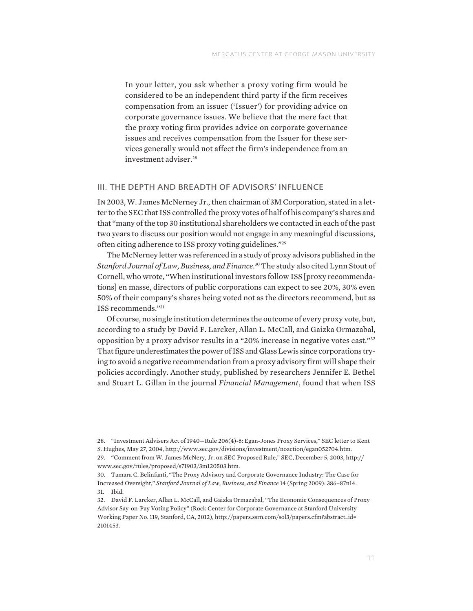In your letter, you ask whether a proxy voting firm would be considered to be an independent third party if the firm receives compensation from an issuer ('Issuer') for providing advice on corporate governance issues. We believe that the mere fact that the proxy voting firm provides advice on corporate governance issues and receives compensation from the Issuer for these services generally would not affect the firm's independence from an investment adviser.28

#### III. THE DEPTH AND BREADTH OF ADVISORS' INFLUENCE

In 2003, W. James McNerney Jr., then chairman of 3M Corporation, stated in a letter to the SEC that ISS controlled the proxy votes of half of his company's shares and that "many of the top 30 institutional shareholders we contacted in each of the past two years to discuss our position would not engage in any meaningful discussions, often citing adherence to ISS proxy voting guidelines."29

The McNerney letter was referenced in a study of proxy advisors published in the *Stanford Journal of Law, Business, and Finance*. 30 The study also cited Lynn Stout of Cornell, who wrote, "When institutional investors follow ISS [proxy recommendations] en masse, directors of public corporations can expect to see 20%, 30% even 50% of their company's shares being voted not as the directors recommend, but as ISS recommends."31

Of course, no single institution determines the outcome of every proxy vote, but, according to a study by David F. Larcker, Allan L. McCall, and Gaizka Ormazabal, opposition by a proxy advisor results in a "20% increase in negative votes cast."32 That figure underestimates the power of ISS and Glass Lewis since corporations trying to avoid a negative recommendation from a proxy advisory firm will shape their policies accordingly. Another study, published by researchers Jennifer E. Bethel and Stuart L. Gillan in the journal *Financial Management*, found that when ISS

<sup>28.</sup> "Investment Advisers Act of 1940—Rule 206(4)-6: Egan-Jones Proxy Services," SEC letter to Kent S. Hughes, May 27, 2004, http://www.sec.gov/divisions/investment/noaction/egan052704.htm. 29. "Comment from W. James McNery, Jr. on SEC Proposed Rule," SEC, December 5, 2003, http:// www.sec.gov/rules/proposed/s71903/3m120503.htm.

<sup>30.</sup> Tamara C. Belinfanti, "The Proxy Advisory and Corporate Governance Industry: The Case for Increased Oversight," *Stanford Journal of Law, Business, and Finance* 14 (Spring 2009): 386–87n14. 31. Ibid.

<sup>32.</sup> David F. Larcker, Allan L. McCall, and Gaizka Ormazabal, "The Economic Consequences of Proxy Advisor Say-on-Pay Voting Policy" (Rock Center for Corporate Governance at Stanford University Working Paper No. 119, Stanford, CA, 2012), http://papers.ssrn.com/sol3/papers.cfm?abstract\_id= 2101453.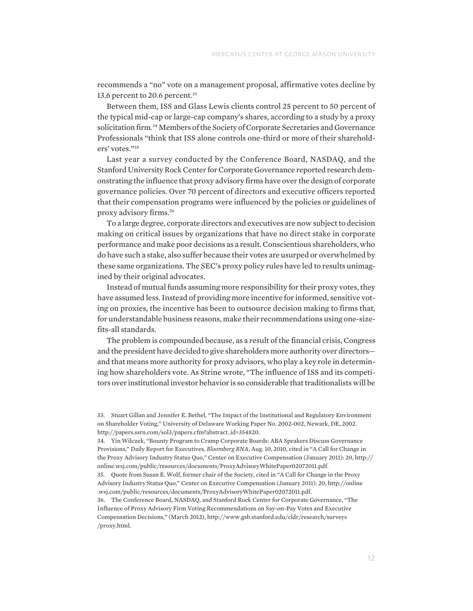recommends a "no" vote on a management proposal, affirmative votes decline by 13.6 percent to 20.6 percent.<sup>33</sup>

Between them, ISS and Glass Lewis clients control 25 percent to 50 percent of the typical mid-cap or large-cap company's shares, according to a study by a proxy solicitation firm.<sup>34</sup> Members of the Society of Corporate Secretaries and Governance Professionals "think that ISS alone controls one-third or more of their shareholders' votes."35

Last year a survey conducted by the Conference Board, NASDAQ, and the Stanford University Rock Center for Corporate Governance reported research demonstrating the influence that proxy advisory firms have over the design of corporate governance policies. Over 70 percent of directors and executive officers reported that their compensation programs were influenced by the policies or guidelines of proxy advisory firms.36

To a large degree, corporate directors and executives are now subject to decision making on critical issues by organizations that have no direct stake in corporate performance and make poor decisions as a result. Conscientious shareholders, who do have such a stake, also suffer because their votes are usurped or overwhelmed by these same organizations. The SEC's proxy policy rules have led to results unimagined by their original advocates.

Instead of mutual funds assuming more responsibility for their proxy votes, they have assumed less. Instead of providing more incentive for informed, sensitive voting on proxies, the incentive has been to outsource decision making to firms that, for understandable business reasons, make their recommendations using one-sizefits-all standards.

The problem is compounded because, as a result of the financial crisis, Congress and the president have decided to give shareholders more authority over directors and that means more authority for proxy advisors, who play a key role in determining how shareholders vote. As Strine wrote, "The influence of ISS and its competitors over institutional investor behavior is so considerable that traditionalists will be

36. The Conference Board, NASDAQ, and Stanford Rock Center for Corporate Governance, "The Influence of Proxy Advisory Firm Voting Recommendations on Say-on-Pay Votes and Executive Compensation Decisions," (March 2012), http://www.gsb.stanford.edu/cldr/research/surveys /proxy.html.

<sup>33.</sup> Stuart Gillan and Jennifer E. Bethel, "The Impact of the Institutional and Regulatory Environment on Shareholder Voting," University of Delaware Working Paper No. 2002-002, Newark, DE, 2002. http://papers.ssrn.com/sol3/papers.cfm?abstract\_id=354820.

<sup>34.</sup> Yin Wilczek, "Bounty Program to Cramp Corporate Boards: ABA Speakers Discuss Governance Provisions," Daily Report for Executives, *Bloomberg BNA*, Aug. 10, 2010, cited in "A Call for Change in the Proxy Advisory Industry Status Quo," Center on Executive Compensation (January 2011): 20, http:// online.wsj.com/public/resources/documents/ProxyAdvisoryWhitePaper02072011.pdf.

<sup>35.</sup> Quote from Susan E. Wolf, former chair of the Society, cited in "A Call for Change in the Proxy Advisory Industry Status Quo," Center on Executive Compensation (January 2011): 20, http://online .wsj.com/public/resources/documents/ProxyAdvisoryWhitePaper02072011.pdf.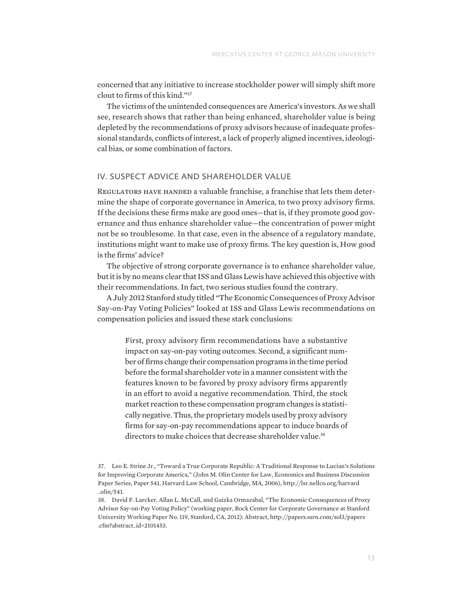concerned that any initiative to increase stockholder power will simply shift more clout to firms of this kind."37

The victims of the unintended consequences are America's investors. As we shall see, research shows that rather than being enhanced, shareholder value is being depleted by the recommendations of proxy advisors because of inadequate professional standards, conflicts of interest, a lack of properly aligned incentives, ideological bias, or some combination of factors.

#### IV. SUSPECT ADVICE AND SHAREHOLDER VALUE

REGULATORS HAVE HANDED a valuable franchise, a franchise that lets them determine the shape of corporate governance in America, to two proxy advisory firms. If the decisions these firms make are good ones—that is, if they promote good governance and thus enhance shareholder value—the concentration of power might not be so troublesome. In that case, even in the absence of a regulatory mandate, institutions might want to make use of proxy firms. The key question is, How good is the firms' advice?

The objective of strong corporate governance is to enhance shareholder value, but it is by no means clear that ISS and Glass Lewis have achieved this objective with their recommendations. In fact, two serious studies found the contrary.

A July 2012 Stanford study titled "The Economic Consequences of Proxy Advisor Say-on-Pay Voting Policies" looked at ISS and Glass Lewis recommendations on compensation policies and issued these stark conclusions:

First, proxy advisory firm recommendations have a substantive impact on say-on-pay voting outcomes. Second, a significant number of firms change their compensation programs in the time period before the formal shareholder vote in a manner consistent with the features known to be favored by proxy advisory firms apparently in an effort to avoid a negative recommendation. Third, the stock market reaction to these compensation program changes is statistically negative. Thus, the proprietary models used by proxy advisory firms for say-on-pay recommendations appear to induce boards of directors to make choices that decrease shareholder value.<sup>38</sup>

<sup>37.</sup> Leo E. Strine Jr., "Toward a True Corporate Republic: A Traditional Response to Lucian's Solutions for Improving Corporate America," (John M. Olin Center for Law, Economics and Business Discussion Paper Series, Paper 541, Harvard Law School, Cambridge, MA, 2006), http://lsr.nellco.org/harvard \_olin/541.

<sup>38.</sup> David F. Larcker, Allan L. McCall, and Gaizka Ormazabal, "The Economic Consequences of Proxy Advisor Say-on-Pay Voting Policy" (working paper, Rock Center for Corporate Governance at Stanford University Working Paper No. 119, Stanford, CA, 2012): Abstract, http://papers.ssrn.com/sol3/papers .cfm?abstract\_id=2101453.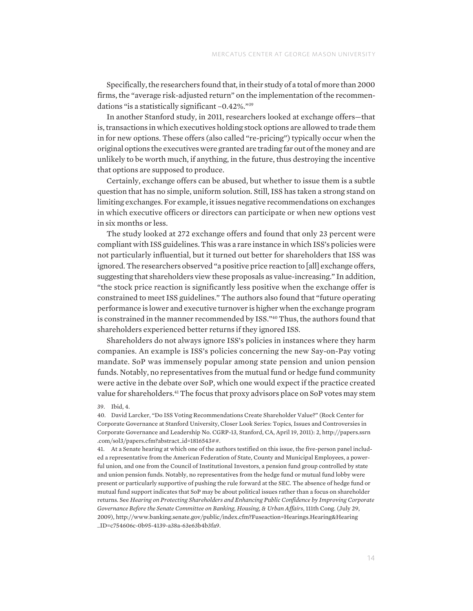Specifically, the researchers found that, in their study of a total of more than 2000 firms, the "average risk-adjusted return" on the implementation of the recommendations "is a statistically significant –0.42%."39

In another Stanford study, in 2011, researchers looked at exchange offers—that is, transactions in which executives holding stock options are allowed to trade them in for new options. These offers (also called "re-pricing") typically occur when the original options the executives were granted are trading far out of the money and are unlikely to be worth much, if anything, in the future, thus destroying the incentive that options are supposed to produce.

Certainly, exchange offers can be abused, but whether to issue them is a subtle question that has no simple, uniform solution. Still, ISS has taken a strong stand on limiting exchanges. For example, it issues negative recommendations on exchanges in which executive officers or directors can participate or when new options vest in six months or less.

The study looked at 272 exchange offers and found that only 23 percent were compliant with ISS guidelines. This was a rare instance in which ISS's policies were not particularly influential, but it turned out better for shareholders that ISS was ignored. The researchers observed "a positive price reaction to [all] exchange offers, suggesting that shareholders view these proposals as value-increasing." In addition, "the stock price reaction is significantly less positive when the exchange offer is constrained to meet ISS guidelines." The authors also found that "future operating performance is lower and executive turnover is higher when the exchange program is constrained in the manner recommended by ISS."40 Thus, the authors found that shareholders experienced better returns if they ignored ISS.

Shareholders do not always ignore ISS's policies in instances where they harm companies. An example is ISS's policies concerning the new Say-on-Pay voting mandate. SoP was immensely popular among state pension and union pension funds. Notably, no representatives from the mutual fund or hedge fund community were active in the debate over SoP, which one would expect if the practice created value for shareholders.<sup>41</sup> The focus that proxy advisors place on SoP votes may stem

<sup>39.</sup> Ibid, 4.

<sup>40.</sup> David Larcker, "Do ISS Voting Recommendations Create Shareholder Value?" (Rock Center for Corporate Governance at Stanford University, Closer Look Series: Topics, Issues and Controversies in Corporate Governance and Leadership No. CGRP-13, Stanford, CA, April 19, 2011): 2, http://papers.ssrn .com/sol3/papers.cfm?abstract\_id=1816543##.

<sup>41.</sup> At a Senate hearing at which one of the authors testified on this issue, the five-person panel included a representative from the American Federation of State, County and Municipal Employees, a powerful union, and one from the Council of Institutional Investors, a pension fund group controlled by state and union pension funds. Notably, no representatives from the hedge fund or mutual fund lobby were present or particularly supportive of pushing the rule forward at the SEC. The absence of hedge fund or mutual fund support indicates that SoP may be about political issues rather than a focus on shareholder returns. See *Hearing on Protecting Shareholders and Enhancing Public Confidence by Improving Corporate Governance Before the Senate Committee on Banking, Housing, & Urban Affairs*, 111th Cong. (July 29, 2009), http://www.banking.senate.gov/public/index.cfm?Fuseaction=Hearings.Hearing&Hearing \_ID=c754606c-0b95-4139-a38a-63e63b4b3fa9.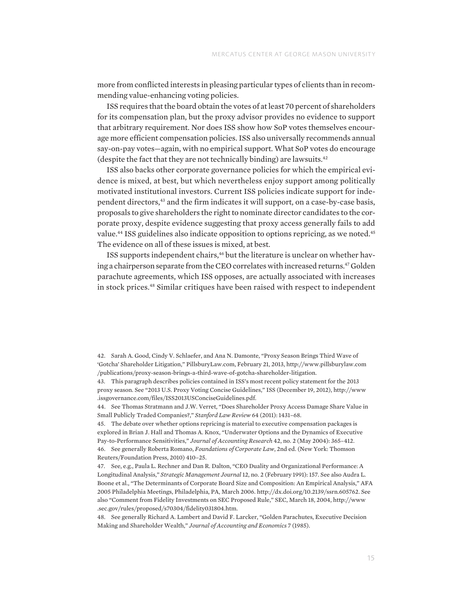more from conflicted interests in pleasing particular types of clients than in recommending value-enhancing voting policies.

ISS requires that the board obtain the votes of at least 70 percent of shareholders for its compensation plan, but the proxy advisor provides no evidence to support that arbitrary requirement. Nor does ISS show how SoP votes themselves encourage more efficient compensation policies. ISS also universally recommends annual say-on-pay votes—again, with no empirical support. What SoP votes do encourage (despite the fact that they are not technically binding) are lawsuits.42

ISS also backs other corporate governance policies for which the empirical evidence is mixed, at best, but which nevertheless enjoy support among politically motivated institutional investors. Current ISS policies indicate support for independent directors,<sup>43</sup> and the firm indicates it will support, on a case-by-case basis, proposals to give shareholders the right to nominate director candidates to the corporate proxy, despite evidence suggesting that proxy access generally fails to add value.<sup>44</sup> ISS guidelines also indicate opposition to options repricing, as we noted.<sup>45</sup> The evidence on all of these issues is mixed, at best.

ISS supports independent chairs,<sup>46</sup> but the literature is unclear on whether having a chairperson separate from the CEO correlates with increased returns.47 Golden parachute agreements, which ISS opposes, are actually associated with increases in stock prices.48 Similar critiques have been raised with respect to independent

42. Sarah A. Good, Cindy V. Schlaefer, and Ana N. Damonte, "Proxy Season Brings Third Wave of 'Gotcha' Shareholder Litigation," PillsburyLaw.com, February 21, 2013, http://www.pillsburylaw.com /publications/proxy-season-brings-a-third-wave-of-gotcha-shareholder-litigation.

43. This paragraph describes policies contained in ISS's most recent policy statement for the 2013 proxy season. See "2013 U.S. Proxy Voting Concise Guidelines," ISS (December 19, 2012), http://www .issgovernance.com/files/ISS2013USConciseGuidelines.pdf.

44. See Thomas Stratmann and J.W. Verret, "Does Shareholder Proxy Access Damage Share Value in Small Publicly Traded Companies?," *Stanford Law Review* 64 (2011): 1431–68.

45. The debate over whether options repricing is material to executive compensation packages is explored in Brian J. Hall and Thomas A. Knox, "Underwater Options and the Dynamics of Executive Pay-to-Performance Sensitivities," *Journal of Accounting Research* 42, no. 2 (May 2004): 365–412. 46. See generally Roberta Romano, *Foundations of Corporate Law*, 2nd ed. (New York: Thomson Reuters/Foundation Press, 2010) 410–25.

47. See, e.g., Paula L. Rechner and Dan R. Dalton, "CEO Duality and Organizational Performance: A Longitudinal Analysis," *Strategic Management Journal* 12, no. 2 (February 1991): 157. See also Audra L. Boone et al., "The Determinants of Corporate Board Size and Composition: An Empirical Analysis," AFA 2005 Philadelphia Meetings, Philadelphia, PA, March 2006. http://dx.doi.org/10.2139/ssrn.605762. See also "Comment from Fidelity Investments on SEC Proposed Rule," SEC, March 18, 2004, http://www .sec.gov/rules/proposed/s70304/fidelity031804.htm.

48. See generally Richard A. Lambert and David F. Larcker, "Golden Parachutes, Executive Decision Making and Shareholder Wealth," *Journal of Accounting and Economics* 7 (1985).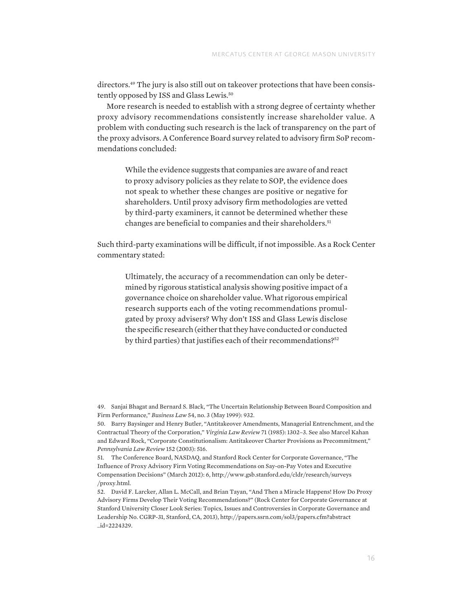directors.<sup>49</sup> The jury is also still out on takeover protections that have been consistently opposed by ISS and Glass Lewis.50

More research is needed to establish with a strong degree of certainty whether proxy advisory recommendations consistently increase shareholder value. A problem with conducting such research is the lack of transparency on the part of the proxy advisors. A Conference Board survey related to advisory firm SoP recommendations concluded:

While the evidence suggests that companies are aware of and react to proxy advisory policies as they relate to SOP, the evidence does not speak to whether these changes are positive or negative for shareholders. Until proxy advisory firm methodologies are vetted by third-party examiners, it cannot be determined whether these changes are beneficial to companies and their shareholders.<sup>51</sup>

Such third-party examinations will be difficult, if not impossible. As a Rock Center commentary stated:

Ultimately, the accuracy of a recommendation can only be determined by rigorous statistical analysis showing positive impact of a governance choice on shareholder value. What rigorous empirical research supports each of the voting recommendations promulgated by proxy advisers? Why don't ISS and Glass Lewis disclose the specific research (either that they have conducted or conducted by third parties) that justifies each of their recommendations?<sup>52</sup>

49. Sanjai Bhagat and Bernard S. Black, "The Uncertain Relationship Between Board Composition and Firm Performance," *Business Law* 54, no. 3 (May 1999): 932.

<sup>50.</sup> Barry Baysinger and Henry Butler, "Antitakeover Amendments, Managerial Entrenchment, and the Contractual Theory of the Corporation," *Virginia Law Review* 71 (1985): 1302–3. See also Marcel Kahan and Edward Rock, "Corporate Constitutionalism: Antitakeover Charter Provisions as Precommitment," *Pennsylvania Law Review* 152 (2003): 516.

<sup>51.</sup> The Conference Board, NASDAQ, and Stanford Rock Center for Corporate Governance, "The Influence of Proxy Advisory Firm Voting Recommendations on Say-on-Pay Votes and Executive Compensation Decisions" (March 2012): 6, http://www.gsb.stanford.edu/cldr/research/surveys /proxy.html.

<sup>52.</sup> David F. Larcker, Allan L. McCall, and Brian Tayan, "And Then a Miracle Happens! How Do Proxy Advisory Firms Develop Their Voting Recommendations?" (Rock Center for Corporate Governance at Stanford University Closer Look Series: Topics, Issues and Controversies in Corporate Governance and Leadership No. CGRP-31, Stanford, CA, 2013), http://papers.ssrn.com/sol3/papers.cfm?abstract \_id=2224329.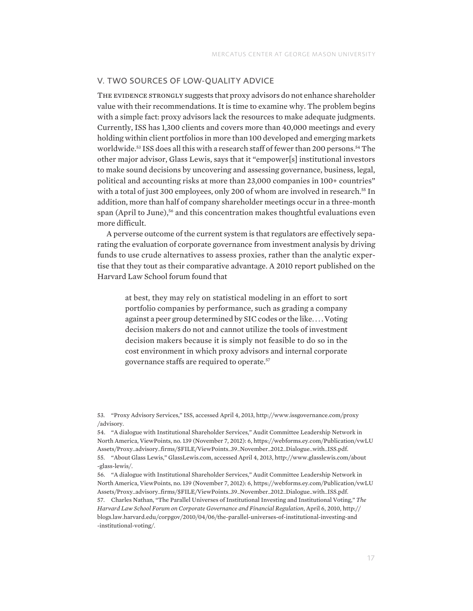# V. TWO SOURCES OF LOW-QUALITY ADVICE

THE EVIDENCE STRONGLY suggests that proxy advisors do not enhance shareholder value with their recommendations. It is time to examine why. The problem begins with a simple fact: proxy advisors lack the resources to make adequate judgments. Currently, ISS has 1,300 clients and covers more than 40,000 meetings and every holding within client portfolios in more than 100 developed and emerging markets worldwide.<sup>53</sup> ISS does all this with a research staff of fewer than 200 persons.<sup>54</sup> The other major advisor, Glass Lewis, says that it "empower[s] institutional investors to make sound decisions by uncovering and assessing governance, business, legal, political and accounting risks at more than 23,000 companies in 100+ countries" with a total of just 300 employees, only 200 of whom are involved in research.<sup>55</sup> In addition, more than half of company shareholder meetings occur in a three-month span (April to June),<sup>56</sup> and this concentration makes thoughtful evaluations even more difficult.

A perverse outcome of the current system is that regulators are effectively separating the evaluation of corporate governance from investment analysis by driving funds to use crude alternatives to assess proxies, rather than the analytic expertise that they tout as their comparative advantage. A 2010 report published on the Harvard Law School forum found that

at best, they may rely on statistical modeling in an effort to sort portfolio companies by performance, such as grading a company against a peer group determined by SIC codes or the like. . . . Voting decision makers do not and cannot utilize the tools of investment decision makers because it is simply not feasible to do so in the cost environment in which proxy advisors and internal corporate governance staffs are required to operate.57

<sup>53.</sup> "Proxy Advisory Services," ISS, accessed April 4, 2013, http://www.issgovernance.com/proxy /advisory.

<sup>54.</sup> "A dialogue with Institutional Shareholder Services," Audit Committee Leadership Network in North America, ViewPoints, no. 139 (November 7, 2012): 6, https://webforms.ey.com/Publication/vwLU Assets/Proxy\_advisory\_firms/\$FILE/ViewPoints\_39\_November\_2012\_Dialogue\_with\_ISS.pdf. 55. "About Glass Lewis," GlassLewis.com, accessed April 4, 2013, http://www.glasslewis.com/about -glass-lewis/.

<sup>56.</sup> "A dialogue with Institutional Shareholder Services," Audit Committee Leadership Network in North America, ViewPoints, no. 139 (November 7, 2012): 6, https://webforms.ey.com/Publication/vwLU Assets/Proxy\_advisory\_firms/\$FILE/ViewPoints\_39\_November\_2012\_Dialogue\_with\_ISS.pdf. 57. Charles Nathan, "The Parallel Universes of Institutional Investing and Institutional Voting," *The Harvard Law School Forum on Corporate Governance and Financial Regulation*, April 6, 2010, http:// blogs.law.harvard.edu/corpgov/2010/04/06/the-parallel-universes-of-institutional-investing-and -institutional-voting/.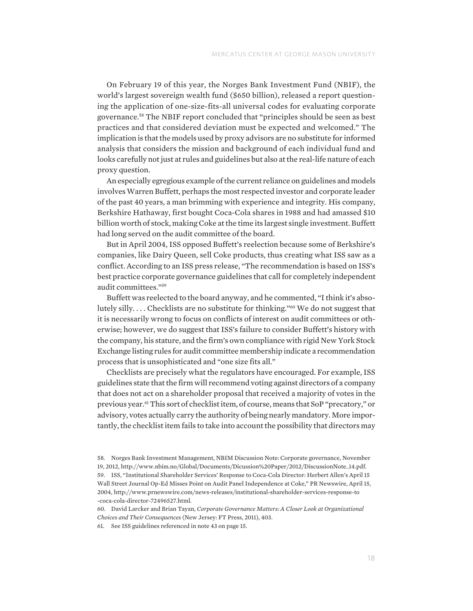On February 19 of this year, the Norges Bank Investment Fund (NBIF), the world's largest sovereign wealth fund (\$650 billion), released a report questioning the application of one-size-fits-all universal codes for evaluating corporate governance.58 The NBIF report concluded that "principles should be seen as best practices and that considered deviation must be expected and welcomed." The implication is that the models used by proxy advisors are no substitute for informed analysis that considers the mission and background of each individual fund and looks carefully not just at rules and guidelines but also at the real-life nature of each proxy question.

An especially egregious example of the current reliance on guidelines and models involves Warren Buffett, perhaps the most respected investor and corporate leader of the past 40 years, a man brimming with experience and integrity. His company, Berkshire Hathaway, first bought Coca-Cola shares in 1988 and had amassed \$10 billion worth of stock, making Coke at the time its largest single investment. Buffett had long served on the audit committee of the board.

But in April 2004, ISS opposed Buffett's reelection because some of Berkshire's companies, like Dairy Queen, sell Coke products, thus creating what ISS saw as a conflict. According to an ISS press release, "The recommendation is based on ISS's best practice corporate governance guidelines that call for completely independent audit committees."59

Buffett was reelected to the board anyway, and he commented, "I think it's absolutely silly.... Checklists are no substitute for thinking."<sup>60</sup> We do not suggest that it is necessarily wrong to focus on conflicts of interest on audit committees or otherwise; however, we do suggest that ISS's failure to consider Buffett's history with the company, his stature, and the firm's own compliance with rigid New York Stock Exchange listing rules for audit committee membership indicate a recommendation process that is unsophisticated and "one size fits all."

Checklists are precisely what the regulators have encouraged. For example, ISS guidelines state that the firm will recommend voting against directors of a company that does not act on a shareholder proposal that received a majority of votes in the previous year.61 This sort of checklist item, of course, means that SoP "precatory," or advisory, votes actually carry the authority of being nearly mandatory. More importantly, the checklist item fails to take into account the possibility that directors may

<sup>58.</sup> Norges Bank Investment Management, NBIM Discussion Note: Corporate governance, November 19, 2012, http://www.nbim.no/Global/Documents/Dicussion%20Paper/2012/DiscussionNote\_14.pdf. 59. ISS, "Institutional Shareholder Services' Response to Coca-Cola Director: Herbert Allen's April 15 Wall Street Journal Op-Ed Misses Point on Audit Panel Independence at Coke," PR Newswire, April 15, 2004, http://www.prnewswire.com/news-releases/institutional-shareholder-services-response-to -coca-cola-director-72496527.html.

<sup>60.</sup> David Larcker and Brian Tayan, *Corporate Governance Matters: A Closer Look at Organizational Choices and Their Consequences* (New Jersey: FT Press, 2011), 403.

<sup>61.</sup> See ISS guidelines referenced in note 43 on page 15.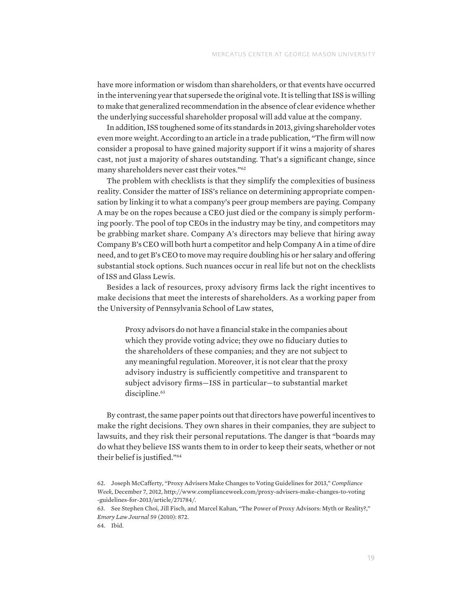have more information or wisdom than shareholders, or that events have occurred in the intervening year that supersede the original vote. It is telling that ISS is willing to make that generalized recommendation in the absence of clear evidence whether the underlying successful shareholder proposal will add value at the company.

In addition, ISS toughened some of its standards in 2013, giving shareholder votes even more weight. According to an article in a trade publication, "The firm will now consider a proposal to have gained majority support if it wins a majority of shares cast, not just a majority of shares outstanding. That's a significant change, since many shareholders never cast their votes."62

The problem with checklists is that they simplify the complexities of business reality. Consider the matter of ISS's reliance on determining appropriate compensation by linking it to what a company's peer group members are paying. Company A may be on the ropes because a CEO just died or the company is simply performing poorly. The pool of top CEOs in the industry may be tiny, and competitors may be grabbing market share. Company A's directors may believe that hiring away Company B's CEO will both hurt a competitor and help Company A in a time of dire need, and to get B's CEO to move may require doubling his or her salary and offering substantial stock options. Such nuances occur in real life but not on the checklists of ISS and Glass Lewis.

Besides a lack of resources, proxy advisory firms lack the right incentives to make decisions that meet the interests of shareholders. As a working paper from the University of Pennsylvania School of Law states,

Proxy advisors do not have a financial stake in the companies about which they provide voting advice; they owe no fiduciary duties to the shareholders of these companies; and they are not subject to any meaningful regulation. Moreover, it is not clear that the proxy advisory industry is sufficiently competitive and transparent to subject advisory firms—ISS in particular—to substantial market discipline.<sup>63</sup>

By contrast, the same paper points out that directors have powerful incentives to make the right decisions. They own shares in their companies, they are subject to lawsuits, and they risk their personal reputations. The danger is that "boards may do what they believe ISS wants them to in order to keep their seats, whether or not their belief is justified."64

<sup>62.</sup> Joseph McCafferty, "Proxy Advisers Make Changes to Voting Guidelines for 2013," *Compliance Week,* December 7, 2012, http://www.complianceweek.com/proxy-advisers-make-changes-to-voting -guidelines-for-2013/article/271784/.

<sup>63.</sup> See Stephen Choi, Jill Fisch, and Marcel Kahan, "The Power of Proxy Advisors: Myth or Reality?," *Emory Law Journal* 59 (2010): 872.

<sup>64.</sup> Ibid.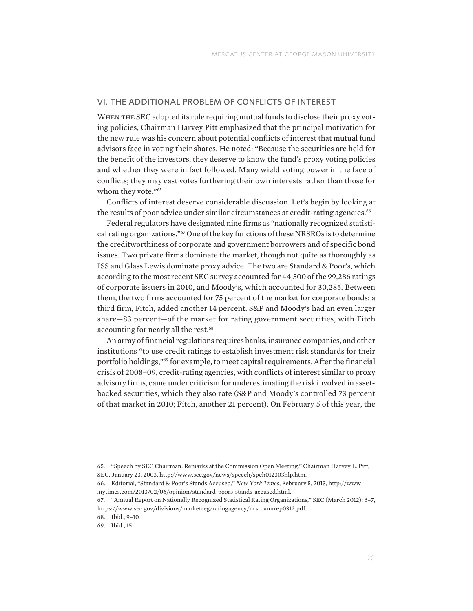#### VI. THE ADDITIONAL PROBLEM OF CONFLICTS OF INTEREST

WHEN THE SEC adopted its rule requiring mutual funds to disclose their proxy voting policies, Chairman Harvey Pitt emphasized that the principal motivation for the new rule was his concern about potential conflicts of interest that mutual fund advisors face in voting their shares. He noted: "Because the securities are held for the benefit of the investors, they deserve to know the fund's proxy voting policies and whether they were in fact followed. Many wield voting power in the face of conflicts; they may cast votes furthering their own interests rather than those for whom they vote."<sup>65</sup>

Conflicts of interest deserve considerable discussion. Let's begin by looking at the results of poor advice under similar circumstances at credit-rating agencies.<sup>66</sup>

Federal regulators have designated nine firms as "nationally recognized statistical rating organizations."67 One of the key functions of these NRSROs is to determine the creditworthiness of corporate and government borrowers and of specific bond issues. Two private firms dominate the market, though not quite as thoroughly as ISS and Glass Lewis dominate proxy advice. The two are Standard & Poor's, which according to the most recent SEC survey accounted for 44,500 of the 99,286 ratings of corporate issuers in 2010, and Moody's, which accounted for 30,285. Between them, the two firms accounted for 75 percent of the market for corporate bonds; a third firm, Fitch, added another 14 percent. S&P and Moody's had an even larger share—83 percent—of the market for rating government securities, with Fitch accounting for nearly all the rest.<sup>68</sup>

An array of financial regulations requires banks, insurance companies, and other institutions "to use credit ratings to establish investment risk standards for their portfolio holdings,"69 for example, to meet capital requirements. After the financial crisis of 2008–09, credit-rating agencies, with conflicts of interest similar to proxy advisory firms, came under criticism for underestimating the risk involved in assetbacked securities, which they also rate (S&P and Moody's controlled 73 percent of that market in 2010; Fitch, another 21 percent). On February 5 of this year, the

68. Ibid., 9–10

69. Ibid., 15.

<sup>65.</sup> "Speech by SEC Chairman: Remarks at the Commission Open Meeting," Chairman Harvey L. Pitt, SEC, January 23, 2003, http://www.sec.gov/news/speech/spch012303hlp.htm.

<sup>66.</sup> Editorial, "Standard & Poor's Stands Accused," *New York Times*, February 5, 2013, http://www .nytimes.com/2013/02/06/opinion/standard-poors-stands-accused.html.

<sup>67.</sup> "Annual Report on Nationally Recognized Statistical Rating Organizations," SEC (March 2012): 6–7, https://www.sec.gov/divisions/marketreg/ratingagency/nrsroannrep0312.pdf.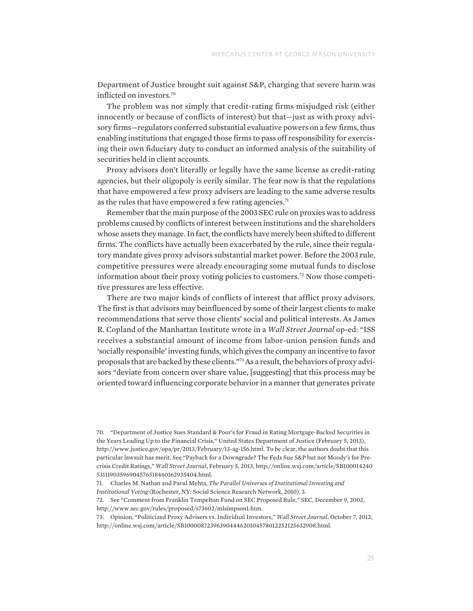Department of Justice brought suit against S&P, charging that severe harm was inflicted on investors.70

The problem was not simply that credit-rating firms misjudged risk (either innocently or because of conflicts of interest) but that—just as with proxy advisory firms—regulators conferred substantial evaluative powers on a few firms, thus enabling institutions that engaged those firms to pass off responsibility for exercising their own fiduciary duty to conduct an informed analysis of the suitability of securities held in client accounts.

Proxy advisors don't literally or legally have the same license as credit-rating agencies, but their oligopoly is eerily similar. The fear now is that the regulations that have empowered a few proxy advisers are leading to the same adverse results as the rules that have empowered a few rating agencies.<sup>71</sup>

Remember that the main purpose of the 2003 SEC rule on proxies was to address problems caused by conflicts of interest between institutions and the shareholders whose assets they manage. In fact, the conflicts have merely been shifted to different firms. The conflicts have actually been exacerbated by the rule, since their regulatory mandate gives proxy advisors substantial market power. Before the 2003 rule, competitive pressures were already encouraging some mutual funds to disclose information about their proxy voting policies to customers.72 Now those competitive pressures are less effective.

There are two major kinds of conflicts of interest that afflict proxy advisors. The first is that advisors may beinfluenced by some of their largest clients to make recommendations that serve those clients' social and political interests. As James R. Copland of the Manhattan Institute wrote in a *Wall Street Journal* op-ed: "ISS receives a substantial amount of income from labor-union pension funds and 'socially responsible' investing funds, which gives the company an incentive to favor proposals that are backed by these clients."73 As a result, the behaviors of proxy advisors "deviate from concern over share value, [suggesting] that this process may be oriented toward influencing corporate behavior in a manner that generates private

72. See "Comment from Franklin Tempelton Fund on SEC Proposed Rule," SEC, December 9, 2002, http://www.sec.gov/rules/proposed/s73602/mlsimpson1.htm.

<sup>70.</sup> "Department of Justice Sues Standard & Poor's for Fraud in Rating Mortgage-Backed Securities in the Years Leading Up to the Financial Crisis," United States Department of Justice (February 5, 2013), http://www.justice.gov/opa/pr/2013/February/13-ag-156.html. To be clear, the authors doubt that this particular lawsuit has merit. See "Payback for a Downgrade? The Feds Sue S&P but not Moody's for Precrisis Credit Ratings," *Wall Street Journal*, February 5, 2013, http://online.wsj.com/article/SB100014240 53111903596904576518460162935404.html.

<sup>71.</sup> Charles M. Nathan and Parul Mehta, *The Parallel Universes of Institutional Investing and Institutional Voting* (Rochester, NY: Social Science Research Network, 2010), 3.

<sup>73.</sup> Opinion, "Politicized Proxy Advisers vs. Individual Investors," *Wall Street Journal*, October 7, 2012, http://online.wsj.com/article/SB10000872396390444620104578012252125632908.html.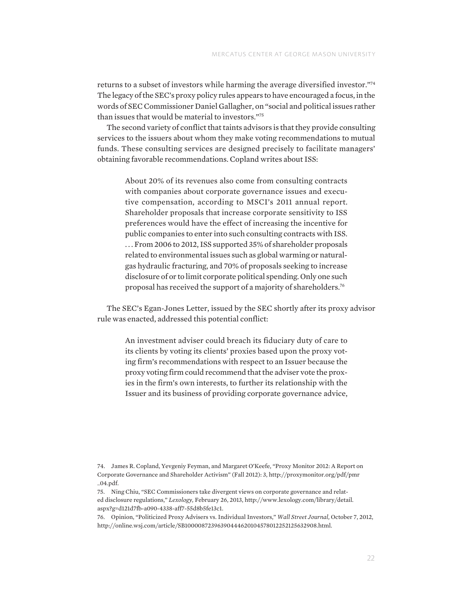returns to a subset of investors while harming the average diversified investor."74 The legacy of the SEC's proxy policy rules appears to have encouraged a focus, in the words of SEC Commissioner Daniel Gallagher, on "social and political issues rather than issues that would be material to investors."75

The second variety of conflict that taints advisors is that they provide consulting services to the issuers about whom they make voting recommendations to mutual funds. These consulting services are designed precisely to facilitate managers' obtaining favorable recommendations. Copland writes about ISS:

About 20% of its revenues also come from consulting contracts with companies about corporate governance issues and executive compensation, according to MSCI's 2011 annual report. Shareholder proposals that increase corporate sensitivity to ISS preferences would have the effect of increasing the incentive for public companies to enter into such consulting contracts with ISS. . . . From 2006 to 2012, ISS supported 35% of shareholder proposals related to environmental issues such as global warming or naturalgas hydraulic fracturing, and 70% of proposals seeking to increase disclosure of or to limit corporate political spending. Only one such proposal has received the support of a majority of shareholders.76

The SEC's Egan-Jones Letter, issued by the SEC shortly after its proxy advisor rule was enacted, addressed this potential conflict:

An investment adviser could breach its fiduciary duty of care to its clients by voting its clients' proxies based upon the proxy voting firm's recommendations with respect to an Issuer because the proxy voting firm could recommend that the adviser vote the proxies in the firm's own interests, to further its relationship with the Issuer and its business of providing corporate governance advice,

<sup>74.</sup> James R. Copland, Yevgeniy Feyman, and Margaret O'Keefe, "Proxy Monitor 2012: A Report on Corporate Governance and Shareholder Activism" (Fall 2012): 3, http://proxymonitor.org/pdf/pmr \_04.pdf.

<sup>75.</sup> Ning Chiu, "SEC Commissioners take divergent views on corporate governance and related disclosure regulations," *Lexology,* February 26, 2013, http://www.lexology.com/library/detail. aspx?g=d121d7fb-a090-4338-aff7-55d8b5fe13c1.

<sup>76.</sup> Opinion, "Politicized Proxy Advisers vs. Individual Investors," *Wall Street Journal,* October 7, 2012, http://online.wsj.com/article/SB10000872396390444620104578012252125632908.html.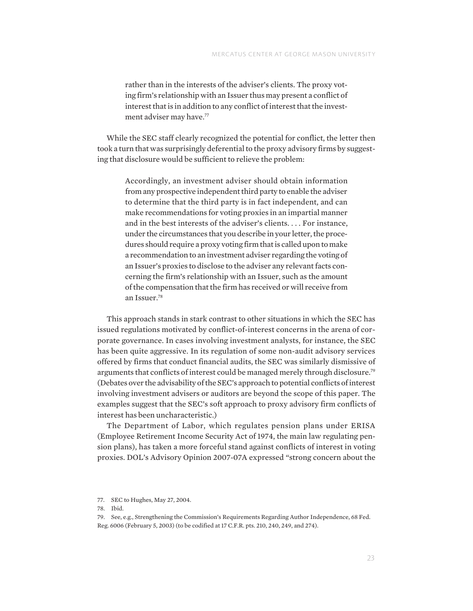rather than in the interests of the adviser's clients. The proxy voting firm's relationship with an Issuer thus may present a conflict of interest that is in addition to any conflict of interest that the investment adviser may have.<sup>77</sup>

While the SEC staff clearly recognized the potential for conflict, the letter then took a turn that was surprisingly deferential to the proxy advisory firms by suggesting that disclosure would be sufficient to relieve the problem:

Accordingly, an investment adviser should obtain information from any prospective independent third party to enable the adviser to determine that the third party is in fact independent, and can make recommendations for voting proxies in an impartial manner and in the best interests of the adviser's clients. . . . For instance, under the circumstances that you describe in your letter, the procedures should require a proxy voting firm that is called upon to make a recommendation to an investment adviser regarding the voting of an Issuer's proxies to disclose to the adviser any relevant facts concerning the firm's relationship with an Issuer, such as the amount of the compensation that the firm has received or will receive from an Issuer.78

This approach stands in stark contrast to other situations in which the SEC has issued regulations motivated by conflict-of-interest concerns in the arena of corporate governance. In cases involving investment analysts, for instance, the SEC has been quite aggressive. In its regulation of some non-audit advisory services offered by firms that conduct financial audits, the SEC was similarly dismissive of arguments that conflicts of interest could be managed merely through disclosure.79 (Debates over the advisability of the SEC's approach to potential conflicts of interest involving investment advisers or auditors are beyond the scope of this paper. The examples suggest that the SEC's soft approach to proxy advisory firm conflicts of interest has been uncharacteristic.)

The Department of Labor, which regulates pension plans under ERISA (Employee Retirement Income Security Act of 1974, the main law regulating pension plans), has taken a more forceful stand against conflicts of interest in voting proxies. DOL's Advisory Opinion 2007-07A expressed "strong concern about the

<sup>77.</sup> SEC to Hughes, May 27, 2004.

<sup>78.</sup> Ibid.

<sup>79.</sup> See, e.g., Strengthening the Commission's Requirements Regarding Author Independence, 68 Fed. Reg. 6006 (February 5, 2003) (to be codified at 17 C.F.R. pts. 210, 240, 249, and 274).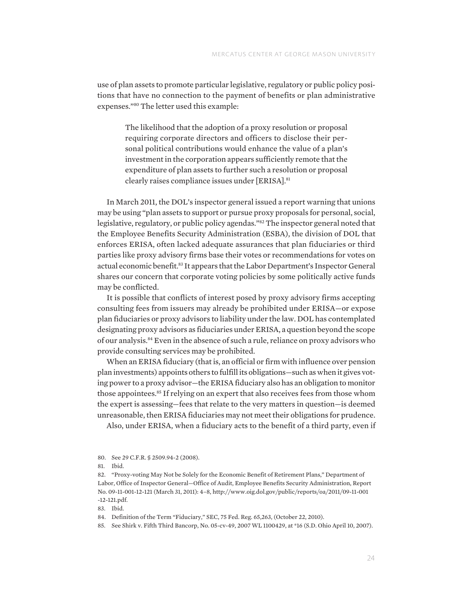use of plan assets to promote particular legislative, regulatory or public policy positions that have no connection to the payment of benefits or plan administrative expenses."80 The letter used this example:

The likelihood that the adoption of a proxy resolution or proposal requiring corporate directors and officers to disclose their personal political contributions would enhance the value of a plan's investment in the corporation appears sufficiently remote that the expenditure of plan assets to further such a resolution or proposal clearly raises compliance issues under [ERISA].81

In March 2011, the DOL's inspector general issued a report warning that unions may be using "plan assets to support or pursue proxy proposals for personal, social, legislative, regulatory, or public policy agendas."<sup>82</sup> The inspector general noted that the Employee Benefits Security Administration (ESBA), the division of DOL that enforces ERISA, often lacked adequate assurances that plan fiduciaries or third parties like proxy advisory firms base their votes or recommendations for votes on actual economic benefit.83 It appears that the Labor Department's Inspector General shares our concern that corporate voting policies by some politically active funds may be conflicted.

It is possible that conflicts of interest posed by proxy advisory firms accepting consulting fees from issuers may already be prohibited under ERISA—or expose plan fiduciaries or proxy advisors to liability under the law. DOL has contemplated designating proxy advisors as fiduciaries under ERISA, a question beyond the scope of our analysis.84 Even in the absence of such a rule, reliance on proxy advisors who provide consulting services may be prohibited.

When an ERISA fiduciary (that is, an official or firm with influence over pension plan investments) appoints others to fulfill its obligations—such as when it gives voting power to a proxy advisor—the ERISA fiduciary also has an obligation to monitor those appointees.<sup>85</sup> If relying on an expert that also receives fees from those whom the expert is assessing—fees that relate to the very matters in question—is deemed unreasonable, then ERISA fiduciaries may not meet their obligations for prudence.

Also, under ERISA, when a fiduciary acts to the benefit of a third party, even if

83. Ibid.

<sup>80.</sup> See 29 C.F.R. § 2509.94-2 (2008).

<sup>81.</sup> Ibid.

<sup>82.</sup> "Proxy-voting May Not be Solely for the Economic Benefit of Retirement Plans," Department of Labor, Office of Inspector General—Office of Audit, Employee Benefits Security Administration, Report No. 09-11-001-12-121 (March 31, 2011): 4–8, http://www.oig.dol.gov/public/reports/oa/2011/09-11-001 -12-121.pdf.

<sup>84.</sup> Definition of the Term "Fiduciary," SEC, 75 Fed. Reg. 65,263, (October 22, 2010).

<sup>85.</sup> See Shirk v. Fifth Third Bancorp, No. 05-cv-49, 2007 WL 1100429, at \*16 (S.D. Ohio April 10, 2007).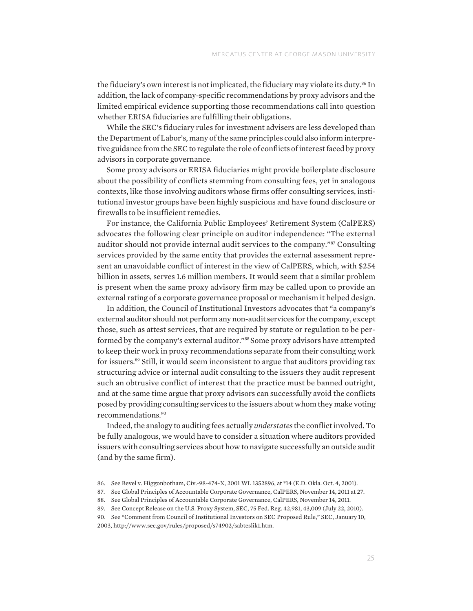the fiduciary's own interest is not implicated, the fiduciary may violate its duty.<sup>86</sup> In addition, the lack of company-specific recommendations by proxy advisors and the limited empirical evidence supporting those recommendations call into question whether ERISA fiduciaries are fulfilling their obligations.

While the SEC's fiduciary rules for investment advisers are less developed than the Department of Labor's, many of the same principles could also inform interpretive guidance from the SEC to regulate the role of conflicts of interest faced by proxy advisors in corporate governance.

Some proxy advisors or ERISA fiduciaries might provide boilerplate disclosure about the possibility of conflicts stemming from consulting fees, yet in analogous contexts, like those involving auditors whose firms offer consulting services, institutional investor groups have been highly suspicious and have found disclosure or firewalls to be insufficient remedies.

For instance, the California Public Employees' Retirement System (CalPERS) advocates the following clear principle on auditor independence: "The external auditor should not provide internal audit services to the company."87 Consulting services provided by the same entity that provides the external assessment represent an unavoidable conflict of interest in the view of CalPERS, which, with \$254 billion in assets, serves 1.6 million members. It would seem that a similar problem is present when the same proxy advisory firm may be called upon to provide an external rating of a corporate governance proposal or mechanism it helped design.

In addition, the Council of Institutional Investors advocates that "a company's external auditor should not perform any non-audit services for the company, except those, such as attest services, that are required by statute or regulation to be performed by the company's external auditor."<sup>88</sup> Some proxy advisors have attempted to keep their work in proxy recommendations separate from their consulting work for issuers.89 Still, it would seem inconsistent to argue that auditors providing tax structuring advice or internal audit consulting to the issuers they audit represent such an obtrusive conflict of interest that the practice must be banned outright, and at the same time argue that proxy advisors can successfully avoid the conflicts posed by providing consulting services to the issuers about whom they make voting recommendations.90

Indeed, the analogy to auditing fees actually *understates* the conflict involved. To be fully analogous, we would have to consider a situation where auditors provided issuers with consulting services about how to navigate successfully an outside audit (and by the same firm).

<sup>86.</sup> See Bevel v. Higgonbotham, Civ.-98-474-X, 2001 WL 1352896, at \*14 (E.D. Okla. Oct. 4, 2001).

<sup>87.</sup> See Global Principles of Accountable Corporate Governance, CalPERS, November 14, 2011 at 27.

<sup>88.</sup> See Global Principles of Accountable Corporate Governance, CalPERS, November 14, 2011.

<sup>89.</sup> See Concept Release on the U.S. Proxy System, SEC, 75 Fed. Reg. 42,981, 43,009 (July 22, 2010).

<sup>90.</sup> See "Comment from Council of Institutional Investors on SEC Proposed Rule," SEC, January 10, 2003, http://www.sec.gov/rules/proposed/s74902/sabteslik1.htm.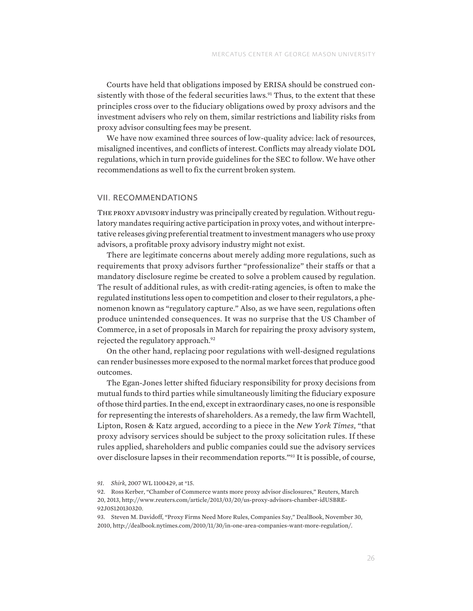Courts have held that obligations imposed by ERISA should be construed consistently with those of the federal securities laws.<sup>91</sup> Thus, to the extent that these principles cross over to the fiduciary obligations owed by proxy advisors and the investment advisers who rely on them, similar restrictions and liability risks from proxy advisor consulting fees may be present.

We have now examined three sources of low-quality advice: lack of resources, misaligned incentives, and conflicts of interest. Conflicts may already violate DOL regulations, which in turn provide guidelines for the SEC to follow. We have other recommendations as well to fix the current broken system.

#### VII. RECOMMENDATIONS

THE PROXY ADVISORY industry was principally created by regulation. Without regulatory mandates requiring active participation in proxy votes, and without interpretative releases giving preferential treatment to investment managers who use proxy advisors, a profitable proxy advisory industry might not exist.

There are legitimate concerns about merely adding more regulations, such as requirements that proxy advisors further "professionalize" their staffs or that a mandatory disclosure regime be created to solve a problem caused by regulation. The result of additional rules, as with credit-rating agencies, is often to make the regulated institutions less open to competition and closer to their regulators, a phenomenon known as "regulatory capture." Also, as we have seen, regulations often produce unintended consequences. It was no surprise that the US Chamber of Commerce, in a set of proposals in March for repairing the proxy advisory system, rejected the regulatory approach.<sup>92</sup>

On the other hand, replacing poor regulations with well-designed regulations can render businesses more exposed to the normal market forces that produce good outcomes.

The Egan-Jones letter shifted fiduciary responsibility for proxy decisions from mutual funds to third parties while simultaneously limiting the fiduciary exposure of those third parties. In the end, except in extraordinary cases, no one is responsible for representing the interests of shareholders. As a remedy, the law firm Wachtell, Lipton, Rosen & Katz argued, according to a piece in the *New York Times*, "that proxy advisory services should be subject to the proxy solicitation rules. If these rules applied, shareholders and public companies could sue the advisory services over disclosure lapses in their recommendation reports."93 It is possible, of course,

*<sup>91.</sup> Shirk*, 2007 WL 1100429, at \*15.

<sup>92.</sup> Ross Kerber, "Chamber of Commerce wants more proxy advisor disclosures," Reuters, March 20, 2013, http://www.reuters.com/article/2013/03/20/us-proxy-advisors-chamber-idUSBRE-92J0S120130320.

<sup>93.</sup> Steven M. Davidoff, "Proxy Firms Need More Rules, Companies Say," DealBook, November 30, 2010, http://dealbook.nytimes.com/2010/11/30/in-one-area-companies-want-more-regulation/.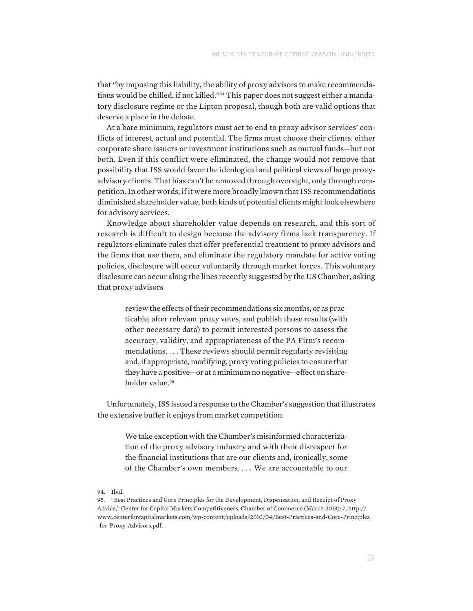that "by imposing this liability, the ability of proxy advisors to make recommendations would be chilled, if not killed."94 This paper does not suggest either a mandatory disclosure regime or the Lipton proposal, though both are valid options that deserve a place in the debate.

At a bare minimum, regulators must act to end to proxy advisor services' conflicts of interest, actual and potential. The firms must choose their clients: either corporate share issuers or investment institutions such as mutual funds—but not both. Even if this conflict were eliminated, the change would not remove that possibility that ISS would favor the ideological and political views of large proxyadvisory clients. That bias can't be removed through oversight, only through competition. In other words, if it were more broadly known that ISS recommendations diminished shareholder value, both kinds of potential clients might look elsewhere for advisory services.

Knowledge about shareholder value depends on research, and this sort of research is difficult to design because the advisory firms lack transparency. If regulators eliminate rules that offer preferential treatment to proxy advisors and the firms that use them, and eliminate the regulatory mandate for active voting policies, disclosure will occur voluntarily through market forces. This voluntary disclosure can occur along the lines recently suggested by the US Chamber, asking that proxy advisors

review the effects of their recommendations six months, or as practicable, after relevant proxy votes, and publish those results (with other necessary data) to permit interested persons to assess the accuracy, validity, and appropriateness of the PA Firm's recommendations. . . . These reviews should permit regularly revisiting and, if appropriate, modifying, proxy voting policies to ensure that they have a positive—or at a minimum no negative—effect on shareholder value.<sup>95</sup>

Unfortunately, ISS issued a response to the Chamber's suggestion that illustrates the extensive buffer it enjoys from market competition:

We take exception with the Chamber's misinformed characterization of the proxy advisory industry and with their disrespect for the financial institutions that are our clients and, ironically, some of the Chamber's own members. . . . We are accountable to our

94. Ibid.

95. "Best Practices and Core Principles for the Development, Dispensation, and Receipt of Proxy Advice," Center for Capital Markets Competitiveness, Chamber of Commerce (March 2013): 7, http:// www.centerforcapitalmarkets.com/wp-content/uploads/2010/04/Best-Practices-and-Core-Principles -for-Proxy-Advisors.pdf.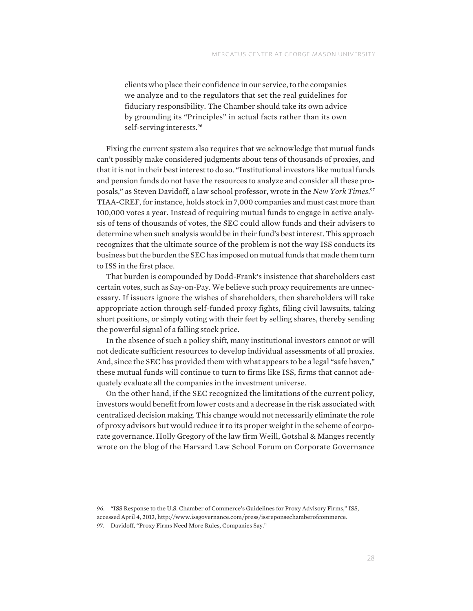clients who place their confidence in our service, to the companies we analyze and to the regulators that set the real guidelines for fiduciary responsibility. The Chamber should take its own advice by grounding its "Principles" in actual facts rather than its own self-serving interests.<sup>96</sup>

Fixing the current system also requires that we acknowledge that mutual funds can't possibly make considered judgments about tens of thousands of proxies, and that it is not in their best interest to do so. "Institutional investors like mutual funds and pension funds do not have the resources to analyze and consider all these proposals," as Steven Davidoff, a law school professor, wrote in the *New York Times*. 97 TIAA-CREF, for instance, holds stock in 7,000 companies and must cast more than 100,000 votes a year. Instead of requiring mutual funds to engage in active analysis of tens of thousands of votes, the SEC could allow funds and their advisers to determine when such analysis would be in their fund's best interest. This approach recognizes that the ultimate source of the problem is not the way ISS conducts its business but the burden the SEC has imposed on mutual funds that made them turn to ISS in the first place.

That burden is compounded by Dodd-Frank's insistence that shareholders cast certain votes, such as Say-on-Pay. We believe such proxy requirements are unnecessary. If issuers ignore the wishes of shareholders, then shareholders will take appropriate action through self-funded proxy fights, filing civil lawsuits, taking short positions, or simply voting with their feet by selling shares, thereby sending the powerful signal of a falling stock price.

In the absence of such a policy shift, many institutional investors cannot or will not dedicate sufficient resources to develop individual assessments of all proxies. And, since the SEC has provided them with what appears to be a legal "safe haven," these mutual funds will continue to turn to firms like ISS, firms that cannot adequately evaluate all the companies in the investment universe.

On the other hand, if the SEC recognized the limitations of the current policy, investors would benefit from lower costs and a decrease in the risk associated with centralized decision making. This change would not necessarily eliminate the role of proxy advisors but would reduce it to its proper weight in the scheme of corporate governance. Holly Gregory of the law firm Weill, Gotshal & Manges recently wrote on the blog of the Harvard Law School Forum on Corporate Governance

<sup>96.</sup> "ISS Response to the U.S. Chamber of Commerce's Guidelines for Proxy Advisory Firms," ISS, accessed April 4, 2013, http://www.issgovernance.com/press/issreponsechamberofcommerce. 97. Davidoff, "Proxy Firms Need More Rules, Companies Say."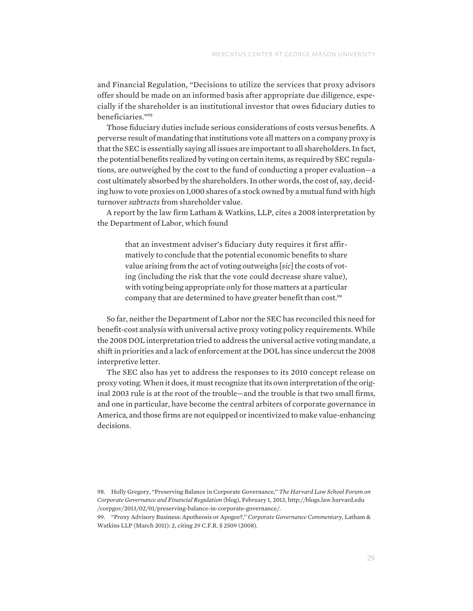and Financial Regulation, "Decisions to utilize the services that proxy advisors offer should be made on an informed basis after appropriate due diligence, especially if the shareholder is an institutional investor that owes fiduciary duties to beneficiaries."98

Those fiduciary duties include serious considerations of costs versus benefits. A perverse result of mandating that institutions vote all matters on a company proxy is that the SEC is essentially saying all issues are important to all shareholders. In fact, the potential benefits realized by voting on certain items, as required by SEC regulations, are outweighed by the cost to the fund of conducting a proper evaluation—a cost ultimately absorbed by the shareholders. In other words, the cost of, say, deciding how to vote proxies on 1,000 shares of a stock owned by a mutual fund with high turnover *subtracts* from shareholder value.

A report by the law firm Latham & Watkins, LLP, cites a 2008 interpretation by the Department of Labor, which found

that an investment adviser's fiduciary duty requires it first affirmatively to conclude that the potential economic benefits to share value arising from the act of voting outweighs [*sic*] the costs of voting (including the risk that the vote could decrease share value), with voting being appropriate only for those matters at a particular company that are determined to have greater benefit than cost.<sup>99</sup>

So far, neither the Department of Labor nor the SEC has reconciled this need for benefit-cost analysis with universal active proxy voting policy requirements. While the 2008 DOL interpretation tried to address the universal active voting mandate, a shift in priorities and a lack of enforcement at the DOL has since undercut the 2008 interpretive letter.

The SEC also has yet to address the responses to its 2010 concept release on proxy voting. When it does, it must recognize that its own interpretation of the original 2003 rule is at the root of the trouble—and the trouble is that two small firms, and one in particular, have become the central arbiters of corporate governance in America, and those firms are not equipped or incentivized to make value-enhancing decisions.

98. Holly Gregory, "Preserving Balance in Corporate Governance," *The Harvard Law School Forum on Corporate Governance and Financial Regulation* (blog), February 1, 2013, http://blogs.law.harvard.edu /corpgov/2013/02/01/preserving-balance-in-corporate-governance/.

99. "Proxy Advisory Business: Apotheosis or Apogee?," *Corporate Governance Commentary*, Latham & Watkins LLP (March 2011): 2, citing 29 C.F.R. § 2509 (2008).